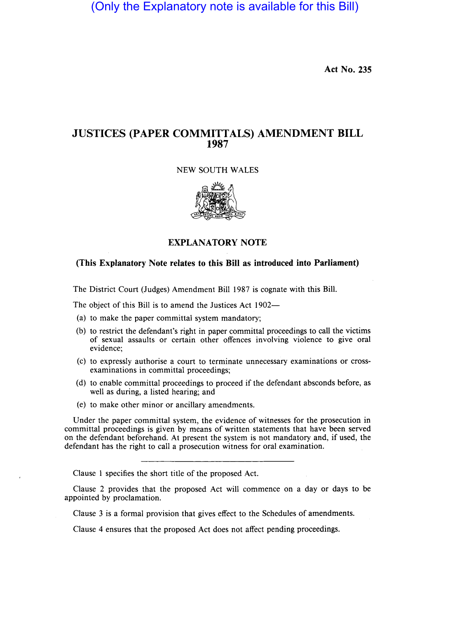(Only the Explanatory note is available for this Bill)

**Act No. 235** 

# **JUSTICES (PAPER COMMITTALS) AMENDMENT BILL 1987**

## NEW SOUTH WALES



### **EXPLANATORY NOTE**

#### **(This Explanatory Note relates to this Bill as introduced into Parliament)**

The District Court (Judges) Amendment **Bill** 1987 is cognate with this Bill.

The object of this Bill is to amend the Justices Act 1902-

- (a) to make the paper committal system mandatory;
- (b) to restrict the defendant's right in paper committal proceedings to call the victims of sexual assaults or certain other offences involving violence to give oral evidence;
- (c) to expressly authorise a court to terminate unnecessary examinations or crossexaminations in committal proceedings;
- (d) to enable committal proceedings to proceed if the defendant absconds before, as well as during, a listed hearing; and
- (e) to make other minor or ancillary amendments.

Under the paper committal system, the evidence of witnesses for the prosecution in committal proceedings is given by means of written statements that have been served on the defendant beforehand. At present the system is not mandatory and, if used, the defendant has the right to call a prosecution witness for oral examination.

Clause 1 specifies the short title of the proposed Act.

Clause 2 provides that the proposed Act will commence on a day or days to be appointed by proclamation.

Clause 3 is a formal provision that gives effect to the Schedules of amendments.

Clause 4 ensures that the proposed Act does not affect pending proceedings.